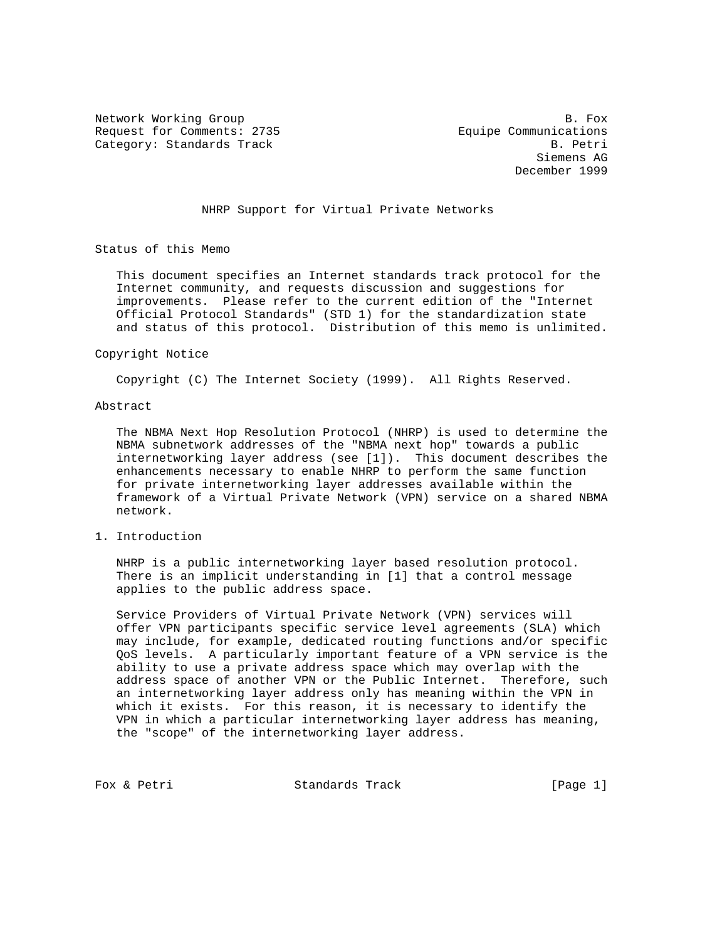Request for Comments: 2735 Equipe Communications Category: Standards Track B. Petri

Network Working Group and the set of the set of the set of the set of the set of the set of the set of the set of the set of the set of the set of the set of the set of the set of the set of the set of the set of the set o Siemens AG December 1999

NHRP Support for Virtual Private Networks

Status of this Memo

 This document specifies an Internet standards track protocol for the Internet community, and requests discussion and suggestions for improvements. Please refer to the current edition of the "Internet Official Protocol Standards" (STD 1) for the standardization state and status of this protocol. Distribution of this memo is unlimited.

#### Copyright Notice

Copyright (C) The Internet Society (1999). All Rights Reserved.

### Abstract

 The NBMA Next Hop Resolution Protocol (NHRP) is used to determine the NBMA subnetwork addresses of the "NBMA next hop" towards a public internetworking layer address (see [1]). This document describes the enhancements necessary to enable NHRP to perform the same function for private internetworking layer addresses available within the framework of a Virtual Private Network (VPN) service on a shared NBMA network.

1. Introduction

 NHRP is a public internetworking layer based resolution protocol. There is an implicit understanding in [1] that a control message applies to the public address space.

 Service Providers of Virtual Private Network (VPN) services will offer VPN participants specific service level agreements (SLA) which may include, for example, dedicated routing functions and/or specific QoS levels. A particularly important feature of a VPN service is the ability to use a private address space which may overlap with the address space of another VPN or the Public Internet. Therefore, such an internetworking layer address only has meaning within the VPN in which it exists. For this reason, it is necessary to identify the VPN in which a particular internetworking layer address has meaning, the "scope" of the internetworking layer address.

Fox & Petri  $\begin{array}{ccc} 1 & 1 \end{array}$  Standards Track  $\begin{array}{ccc} 2 & 2 \end{array}$  [Page 1]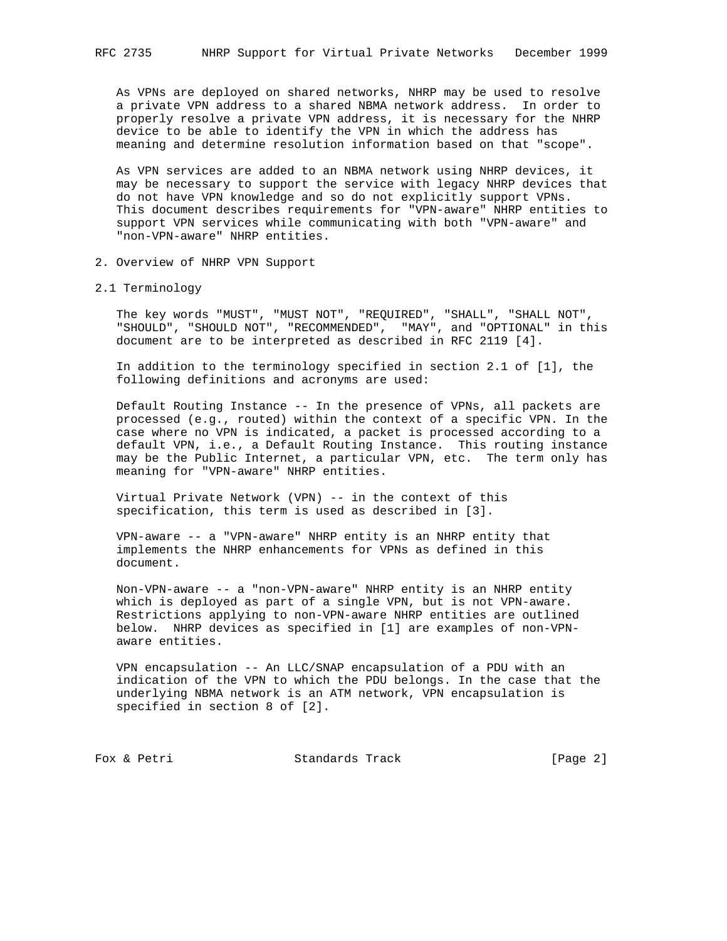As VPNs are deployed on shared networks, NHRP may be used to resolve a private VPN address to a shared NBMA network address. In order to properly resolve a private VPN address, it is necessary for the NHRP device to be able to identify the VPN in which the address has meaning and determine resolution information based on that "scope".

 As VPN services are added to an NBMA network using NHRP devices, it may be necessary to support the service with legacy NHRP devices that do not have VPN knowledge and so do not explicitly support VPNs. This document describes requirements for "VPN-aware" NHRP entities to support VPN services while communicating with both "VPN-aware" and "non-VPN-aware" NHRP entities.

- 2. Overview of NHRP VPN Support
- 2.1 Terminology

 The key words "MUST", "MUST NOT", "REQUIRED", "SHALL", "SHALL NOT", "SHOULD", "SHOULD NOT", "RECOMMENDED", "MAY", and "OPTIONAL" in this document are to be interpreted as described in RFC 2119 [4].

 In addition to the terminology specified in section 2.1 of [1], the following definitions and acronyms are used:

 Default Routing Instance -- In the presence of VPNs, all packets are processed (e.g., routed) within the context of a specific VPN. In the case where no VPN is indicated, a packet is processed according to a default VPN, i.e., a Default Routing Instance. This routing instance may be the Public Internet, a particular VPN, etc. The term only has meaning for "VPN-aware" NHRP entities.

 Virtual Private Network (VPN) -- in the context of this specification, this term is used as described in [3].

 VPN-aware -- a "VPN-aware" NHRP entity is an NHRP entity that implements the NHRP enhancements for VPNs as defined in this document.

 Non-VPN-aware -- a "non-VPN-aware" NHRP entity is an NHRP entity which is deployed as part of a single VPN, but is not VPN-aware. Restrictions applying to non-VPN-aware NHRP entities are outlined below. NHRP devices as specified in [1] are examples of non-VPN aware entities.

 VPN encapsulation -- An LLC/SNAP encapsulation of a PDU with an indication of the VPN to which the PDU belongs. In the case that the underlying NBMA network is an ATM network, VPN encapsulation is specified in section 8 of [2].

Fox & Petri **Standards Track** [Page 2]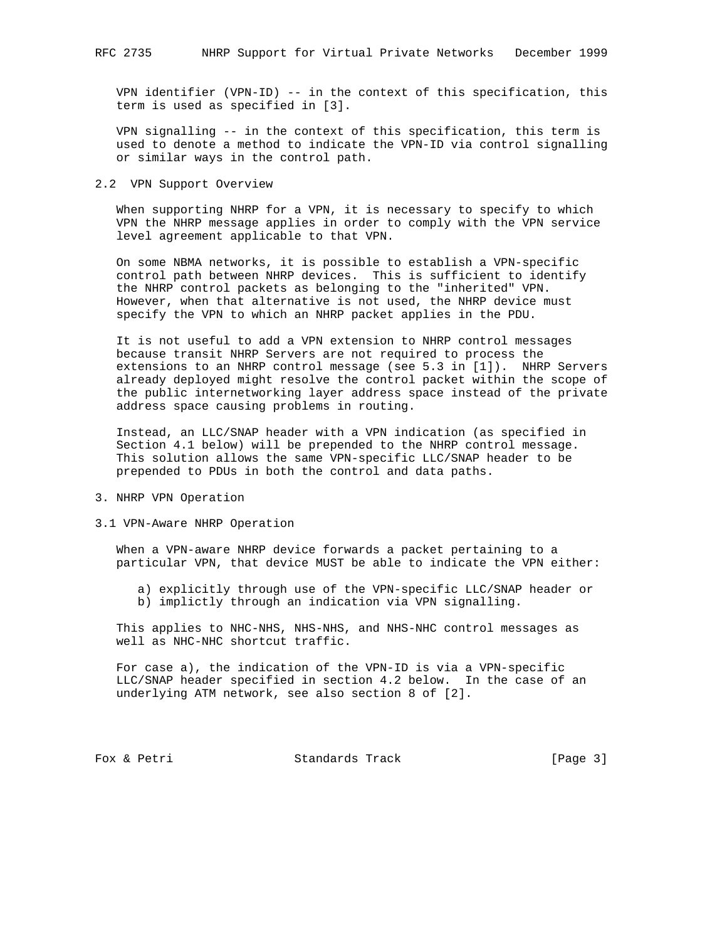VPN identifier (VPN-ID) -- in the context of this specification, this term is used as specified in [3].

 VPN signalling -- in the context of this specification, this term is used to denote a method to indicate the VPN-ID via control signalling or similar ways in the control path.

#### 2.2 VPN Support Overview

When supporting NHRP for a VPN, it is necessary to specify to which VPN the NHRP message applies in order to comply with the VPN service level agreement applicable to that VPN.

 On some NBMA networks, it is possible to establish a VPN-specific control path between NHRP devices. This is sufficient to identify the NHRP control packets as belonging to the "inherited" VPN. However, when that alternative is not used, the NHRP device must specify the VPN to which an NHRP packet applies in the PDU.

 It is not useful to add a VPN extension to NHRP control messages because transit NHRP Servers are not required to process the extensions to an NHRP control message (see 5.3 in [1]). NHRP Servers already deployed might resolve the control packet within the scope of the public internetworking layer address space instead of the private address space causing problems in routing.

 Instead, an LLC/SNAP header with a VPN indication (as specified in Section 4.1 below) will be prepended to the NHRP control message. This solution allows the same VPN-specific LLC/SNAP header to be prepended to PDUs in both the control and data paths.

- 3. NHRP VPN Operation
- 3.1 VPN-Aware NHRP Operation

 When a VPN-aware NHRP device forwards a packet pertaining to a particular VPN, that device MUST be able to indicate the VPN either:

 a) explicitly through use of the VPN-specific LLC/SNAP header or b) implictly through an indication via VPN signalling.

 This applies to NHC-NHS, NHS-NHS, and NHS-NHC control messages as well as NHC-NHC shortcut traffic.

 For case a), the indication of the VPN-ID is via a VPN-specific LLC/SNAP header specified in section 4.2 below. In the case of an underlying ATM network, see also section 8 of [2].

Fox & Petri Standards Track [Page 3]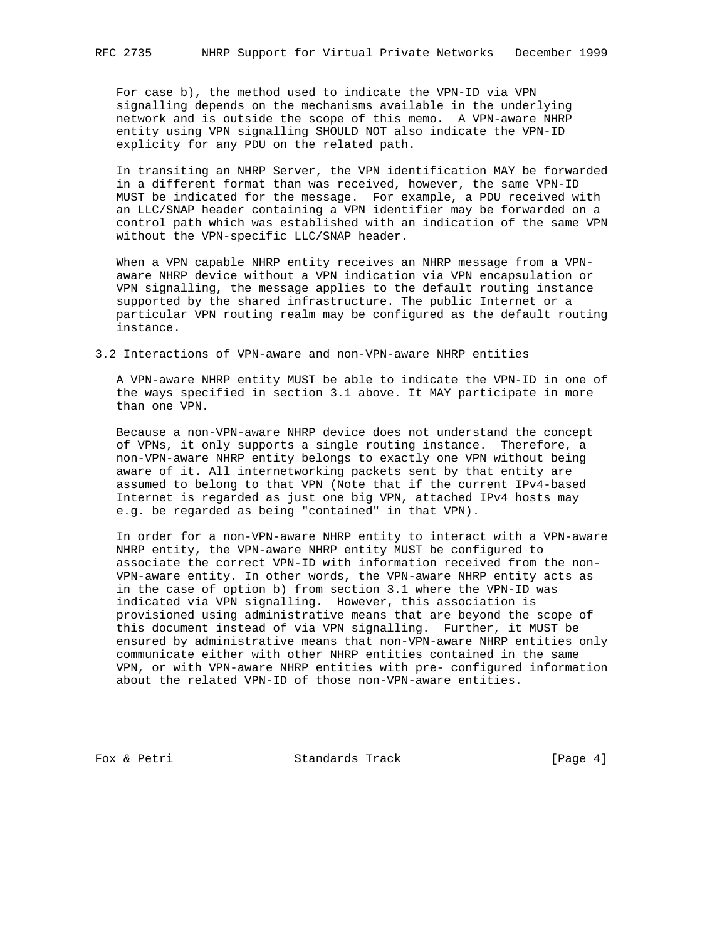For case b), the method used to indicate the VPN-ID via VPN signalling depends on the mechanisms available in the underlying network and is outside the scope of this memo. A VPN-aware NHRP entity using VPN signalling SHOULD NOT also indicate the VPN-ID explicity for any PDU on the related path.

 In transiting an NHRP Server, the VPN identification MAY be forwarded in a different format than was received, however, the same VPN-ID MUST be indicated for the message. For example, a PDU received with an LLC/SNAP header containing a VPN identifier may be forwarded on a control path which was established with an indication of the same VPN without the VPN-specific LLC/SNAP header.

 When a VPN capable NHRP entity receives an NHRP message from a VPN aware NHRP device without a VPN indication via VPN encapsulation or VPN signalling, the message applies to the default routing instance supported by the shared infrastructure. The public Internet or a particular VPN routing realm may be configured as the default routing instance.

3.2 Interactions of VPN-aware and non-VPN-aware NHRP entities

 A VPN-aware NHRP entity MUST be able to indicate the VPN-ID in one of the ways specified in section 3.1 above. It MAY participate in more than one VPN.

 Because a non-VPN-aware NHRP device does not understand the concept of VPNs, it only supports a single routing instance. Therefore, a non-VPN-aware NHRP entity belongs to exactly one VPN without being aware of it. All internetworking packets sent by that entity are assumed to belong to that VPN (Note that if the current IPv4-based Internet is regarded as just one big VPN, attached IPv4 hosts may e.g. be regarded as being "contained" in that VPN).

 In order for a non-VPN-aware NHRP entity to interact with a VPN-aware NHRP entity, the VPN-aware NHRP entity MUST be configured to associate the correct VPN-ID with information received from the non- VPN-aware entity. In other words, the VPN-aware NHRP entity acts as in the case of option b) from section 3.1 where the VPN-ID was indicated via VPN signalling. However, this association is provisioned using administrative means that are beyond the scope of this document instead of via VPN signalling. Further, it MUST be ensured by administrative means that non-VPN-aware NHRP entities only communicate either with other NHRP entities contained in the same VPN, or with VPN-aware NHRP entities with pre- configured information about the related VPN-ID of those non-VPN-aware entities.

Fox & Petri Standards Track [Page 4]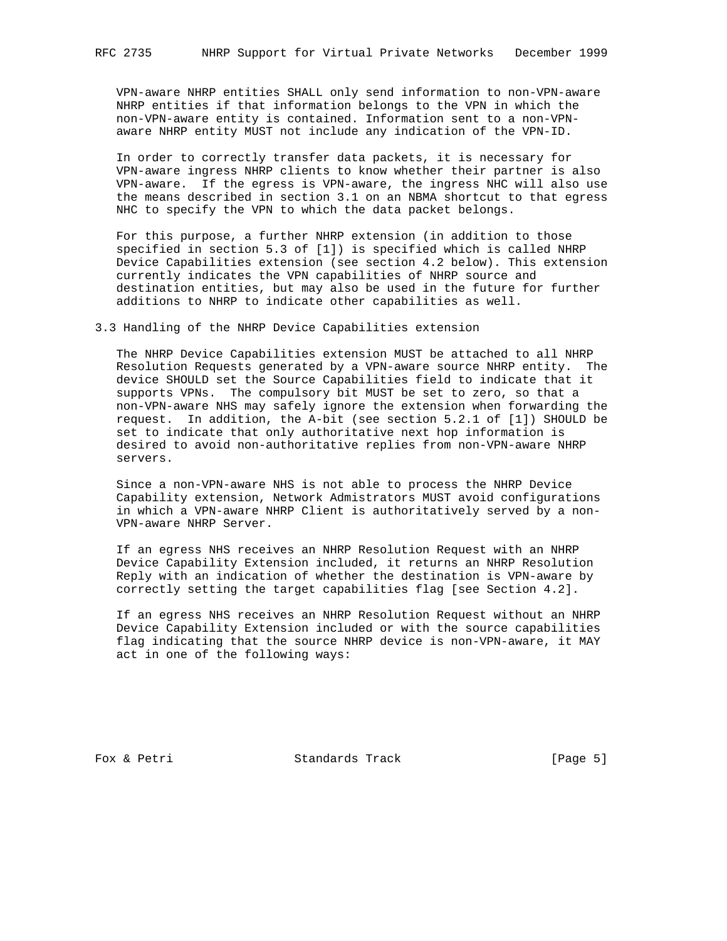VPN-aware NHRP entities SHALL only send information to non-VPN-aware NHRP entities if that information belongs to the VPN in which the non-VPN-aware entity is contained. Information sent to a non-VPN aware NHRP entity MUST not include any indication of the VPN-ID.

 In order to correctly transfer data packets, it is necessary for VPN-aware ingress NHRP clients to know whether their partner is also VPN-aware. If the egress is VPN-aware, the ingress NHC will also use the means described in section 3.1 on an NBMA shortcut to that egress NHC to specify the VPN to which the data packet belongs.

 For this purpose, a further NHRP extension (in addition to those specified in section 5.3 of [1]) is specified which is called NHRP Device Capabilities extension (see section 4.2 below). This extension currently indicates the VPN capabilities of NHRP source and destination entities, but may also be used in the future for further additions to NHRP to indicate other capabilities as well.

3.3 Handling of the NHRP Device Capabilities extension

 The NHRP Device Capabilities extension MUST be attached to all NHRP Resolution Requests generated by a VPN-aware source NHRP entity. The device SHOULD set the Source Capabilities field to indicate that it supports VPNs. The compulsory bit MUST be set to zero, so that a non-VPN-aware NHS may safely ignore the extension when forwarding the request. In addition, the A-bit (see section 5.2.1 of [1]) SHOULD be set to indicate that only authoritative next hop information is desired to avoid non-authoritative replies from non-VPN-aware NHRP servers.

 Since a non-VPN-aware NHS is not able to process the NHRP Device Capability extension, Network Admistrators MUST avoid configurations in which a VPN-aware NHRP Client is authoritatively served by a non- VPN-aware NHRP Server.

 If an egress NHS receives an NHRP Resolution Request with an NHRP Device Capability Extension included, it returns an NHRP Resolution Reply with an indication of whether the destination is VPN-aware by correctly setting the target capabilities flag [see Section 4.2].

 If an egress NHS receives an NHRP Resolution Request without an NHRP Device Capability Extension included or with the source capabilities flag indicating that the source NHRP device is non-VPN-aware, it MAY act in one of the following ways:

Fox & Petri Standards Track [Page 5]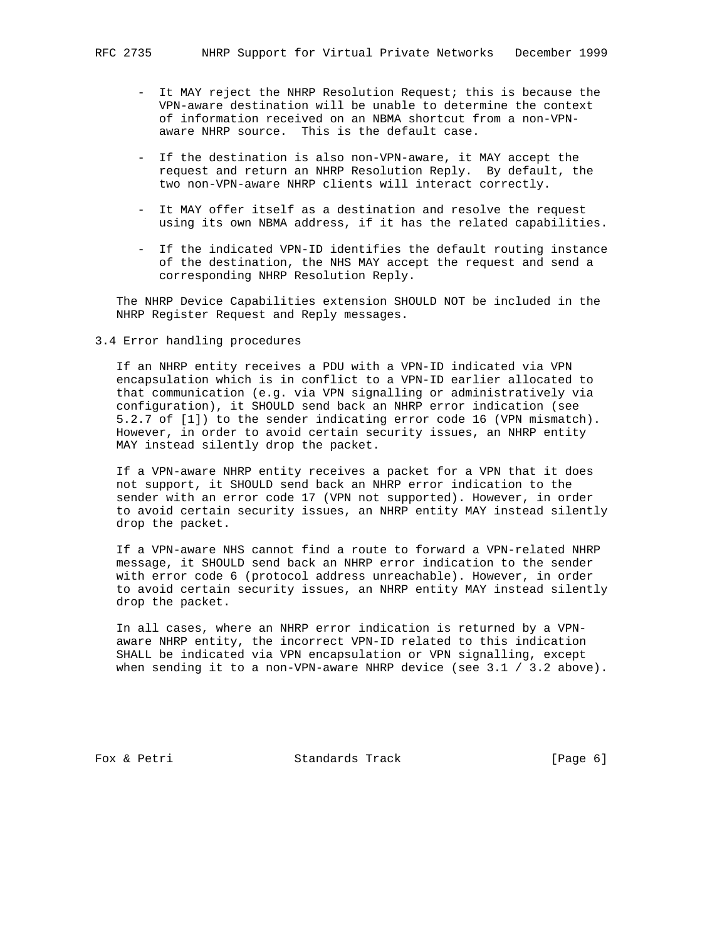- It MAY reject the NHRP Resolution Request; this is because the VPN-aware destination will be unable to determine the context of information received on an NBMA shortcut from a non-VPN aware NHRP source. This is the default case.
- If the destination is also non-VPN-aware, it MAY accept the request and return an NHRP Resolution Reply. By default, the two non-VPN-aware NHRP clients will interact correctly.
- It MAY offer itself as a destination and resolve the request using its own NBMA address, if it has the related capabilities.
- If the indicated VPN-ID identifies the default routing instance of the destination, the NHS MAY accept the request and send a corresponding NHRP Resolution Reply.

 The NHRP Device Capabilities extension SHOULD NOT be included in the NHRP Register Request and Reply messages.

3.4 Error handling procedures

 If an NHRP entity receives a PDU with a VPN-ID indicated via VPN encapsulation which is in conflict to a VPN-ID earlier allocated to that communication (e.g. via VPN signalling or administratively via configuration), it SHOULD send back an NHRP error indication (see 5.2.7 of [1]) to the sender indicating error code 16 (VPN mismatch). However, in order to avoid certain security issues, an NHRP entity MAY instead silently drop the packet.

 If a VPN-aware NHRP entity receives a packet for a VPN that it does not support, it SHOULD send back an NHRP error indication to the sender with an error code 17 (VPN not supported). However, in order to avoid certain security issues, an NHRP entity MAY instead silently drop the packet.

 If a VPN-aware NHS cannot find a route to forward a VPN-related NHRP message, it SHOULD send back an NHRP error indication to the sender with error code 6 (protocol address unreachable). However, in order to avoid certain security issues, an NHRP entity MAY instead silently drop the packet.

 In all cases, where an NHRP error indication is returned by a VPN aware NHRP entity, the incorrect VPN-ID related to this indication SHALL be indicated via VPN encapsulation or VPN signalling, except when sending it to a non-VPN-aware NHRP device (see  $3.1 / 3.2$  above).

Fox & Petri Standards Track [Page 6]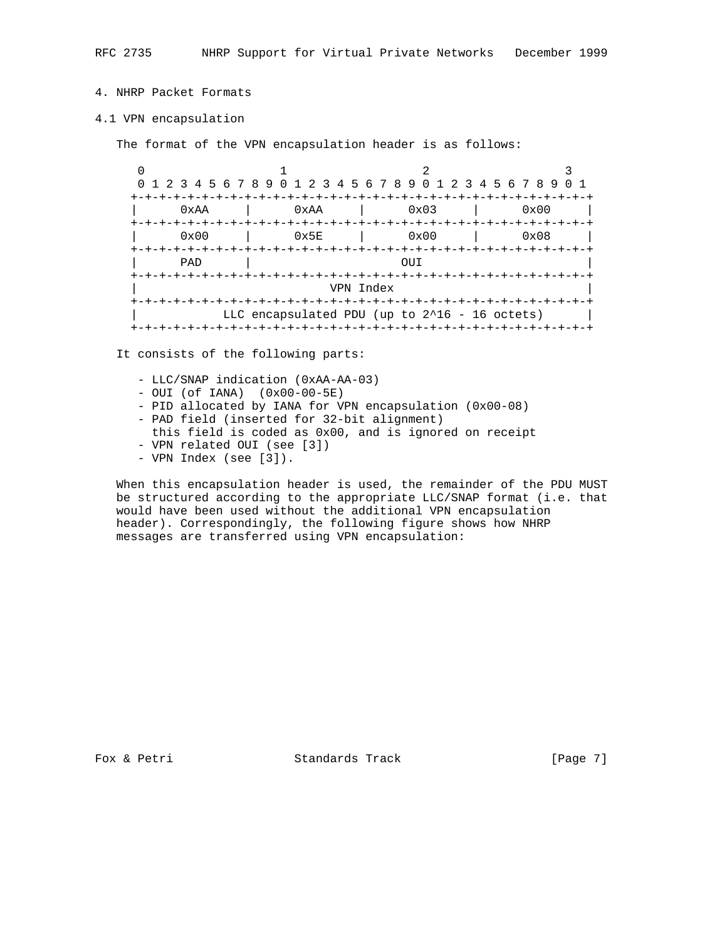# 4. NHRP Packet Formats

#### 4.1 VPN encapsulation

The format of the VPN encapsulation header is as follows:

 $0$  and  $1$  and  $2$  3 0 1 2 3 4 5 6 7 8 9 0 1 2 3 4 5 6 7 8 9 0 1 2 3 4 5 6 7 8 9 0 1 +-+-+-+-+-+-+-+-+-+-+-+-+-+-+-+-+-+-+-+-+-+-+-+-+-+-+-+-+-+-+-+-+ | 0xAA | 0xAA | 0x03 | 0x00 | +-+-+-+-+-+-+-+-+-+-+-+-+-+-+-+-+-+-+-+-+-+-+-+-+-+-+-+-+-+-+-+-+ 0x5E | 0x00 | 0x08 +-+-+-+-+-+-+-+-+-+-+-+-+-+-+-+-+-+-+-+-+-+-+-+-+-+-+-+-+-+-+-+-+ | PAD | OUI | +-+-+-+-+-+-+-+-+-+-+-+-+-+-+-+-+-+-+-+-+-+-+-+-+-+-+-+-+-+-+-+-+ | VPN Index | +-+-+-+-+-+-+-+-+-+-+-+-+-+-+-+-+-+-+-+-+-+-+-+-+-+-+-+-+-+-+-+-+ LLC encapsulated PDU (up to 2^16 - 16 octets) +-+-+-+-+-+-+-+-+-+-+-+-+-+-+-+-+-+-+-+-+-+-+-+-+-+-+-+-+-+-+-+-+

It consists of the following parts:

- LLC/SNAP indication (0xAA-AA-03)
- OUI (of IANA) (0x00-00-5E)
- PID allocated by IANA for VPN encapsulation (0x00-08)
- PAD field (inserted for 32-bit alignment)
- this field is coded as 0x00, and is ignored on receipt
- VPN related OUI (see [3])
- VPN Index (see [3]).

 When this encapsulation header is used, the remainder of the PDU MUST be structured according to the appropriate LLC/SNAP format (i.e. that would have been used without the additional VPN encapsulation header). Correspondingly, the following figure shows how NHRP messages are transferred using VPN encapsulation:

Fox & Petri Standards Track [Page 7]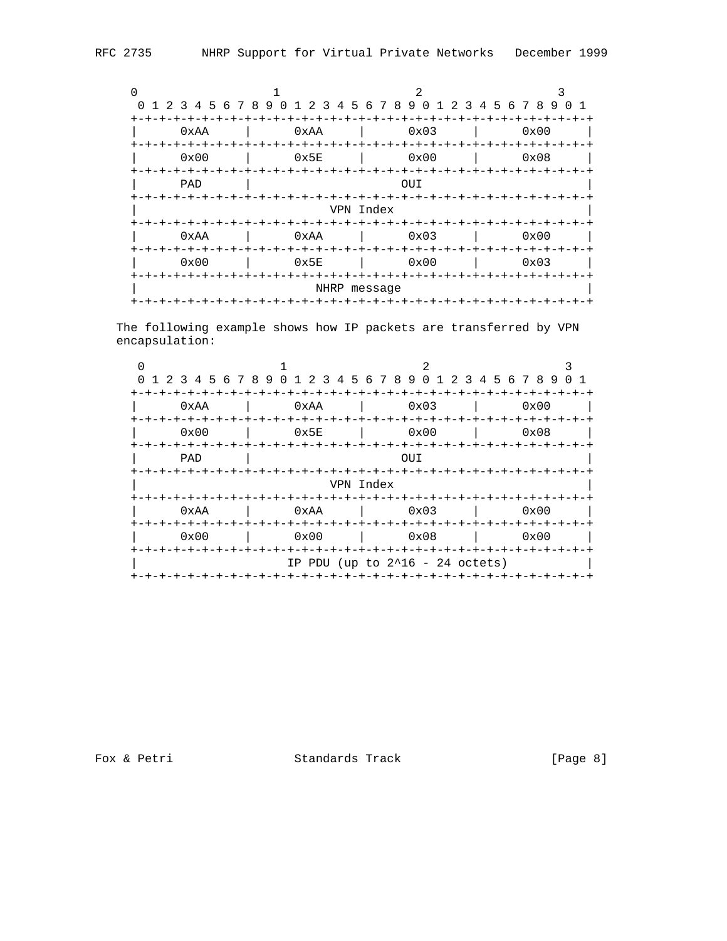|               |             | 0 1 2 3 4 5 6 7 8 9 0 1 2 3 4 5 6 7 8 9 0 1 2 3 4 5 6 7 8 9 0 1 |               |  |  |  |  |  |  |  |  |  |  |  |
|---------------|-------------|-----------------------------------------------------------------|---------------|--|--|--|--|--|--|--|--|--|--|--|
|               |             |                                                                 |               |  |  |  |  |  |  |  |  |  |  |  |
| 0xAA          | 0xAA        | 0x03                                                            | $0 \times 00$ |  |  |  |  |  |  |  |  |  |  |  |
|               |             |                                                                 |               |  |  |  |  |  |  |  |  |  |  |  |
| $0 \times 00$ | 0x5E        | 0x00                                                            | 0x08          |  |  |  |  |  |  |  |  |  |  |  |
| +-+-+-+-+-+   | +-+-+-+-+-+ | +-+-+-+-+-+-                                                    |               |  |  |  |  |  |  |  |  |  |  |  |
| PAD           | OUI         |                                                                 |               |  |  |  |  |  |  |  |  |  |  |  |
|               |             |                                                                 |               |  |  |  |  |  |  |  |  |  |  |  |
| VPN Index     |             |                                                                 |               |  |  |  |  |  |  |  |  |  |  |  |
|               |             | -+-+-+-+-+-+-+-+-+-+                                            |               |  |  |  |  |  |  |  |  |  |  |  |
| 0xAA          | 0xAA        | 0x03                                                            | 0x00          |  |  |  |  |  |  |  |  |  |  |  |
| +-+-+-+-+-    |             | -+-+-+-+-+-+-+-+-+-+-+-+-+-+-                                   | -+-+-+-+-+-+- |  |  |  |  |  |  |  |  |  |  |  |
| $0 \times 00$ | 0x5E        | 0x00                                                            | $0 \times 03$ |  |  |  |  |  |  |  |  |  |  |  |
|               | -+-+-+-+    |                                                                 |               |  |  |  |  |  |  |  |  |  |  |  |
| NHRP message  |             |                                                                 |               |  |  |  |  |  |  |  |  |  |  |  |
|               |             |                                                                 |               |  |  |  |  |  |  |  |  |  |  |  |

The following example shows how IP packets are transferred by VPN encapsulation:

|                                                      |                                        | 1 2 3 4 5 6 7 8 9 0 1 2 3 4 5 6 7 8 9 0 1 2 3 4 5 6 7 8 9 0 1 |                                |  |  |  |  |  |  |  |  |  |  |
|------------------------------------------------------|----------------------------------------|---------------------------------------------------------------|--------------------------------|--|--|--|--|--|--|--|--|--|--|
| 0xAA<br>+-+-+-+-+-+                                  | 0xAA<br>-+-+-+-+-+-+-+-+-+-+-+-+-+-+-+ | -+-+-+-+-+-+-+-+-+-+-+-+-+<br>0x03                            | $0 \times 00$<br>-+-+-+-+-+-+- |  |  |  |  |  |  |  |  |  |  |
| $0 \times 00$<br><b>+-+-+-+-+-</b>                   | 0x5E<br>-+-+-+-+-+-+-                  | 0x00<br>+-+-+-+-+-+-+-+-+-+                                   | 0x08                           |  |  |  |  |  |  |  |  |  |  |
| PAD                                                  |                                        |                                                               |                                |  |  |  |  |  |  |  |  |  |  |
| VPN Index                                            |                                        |                                                               |                                |  |  |  |  |  |  |  |  |  |  |
| 0xAA<br>+-+-+-+-+-                                   | 0xAA<br>-+-+-+-+-+-+-                  | 0x03<br>$+ - + - + - + - + - +$                               | $0 \times 00$                  |  |  |  |  |  |  |  |  |  |  |
| $0 \times 00$                                        | 0x00                                   | 0x08                                                          | 0x00                           |  |  |  |  |  |  |  |  |  |  |
| +-+-+-+-+-+-+-+<br>IP PDU (up to $2^16 - 24$ octets) |                                        |                                                               |                                |  |  |  |  |  |  |  |  |  |  |

Fox & Petri Standards Track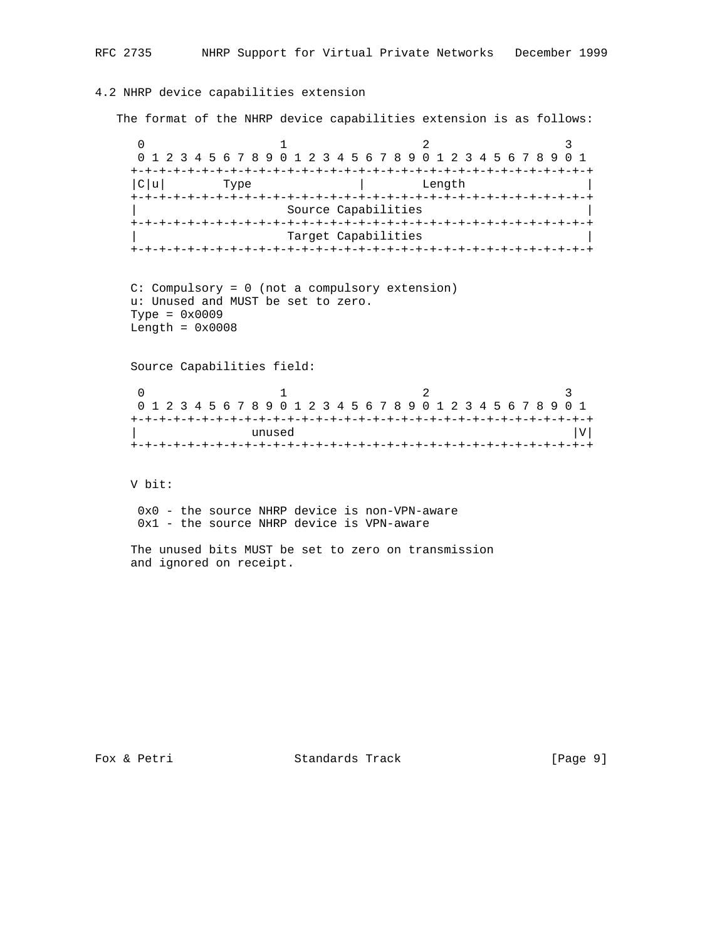## 4.2 NHRP device capabilities extension

The format of the NHRP device capabilities extension is as follows:

 $0$  and  $1$  and  $2$  3 0 1 2 3 4 5 6 7 8 9 0 1 2 3 4 5 6 7 8 9 0 1 2 3 4 5 6 7 8 9 0 1 +-+-+-+-+-+-+-+-+-+-+-+-+-+-+-+-+-+-+-+-+-+-+-+-+-+-+-+-+-+-+-+-+  $|C|u|$  Type  $|C|$  Length +-+-+-+-+-+-+-+-+-+-+-+-+-+-+-+-+-+-+-+-+-+-+-+-+-+-+-+-+-+-+-+-+ Source Capabilities +-+-+-+-+-+-+-+-+-+-+-+-+-+-+-+-+-+-+-+-+-+-+-+-+-+-+-+-+-+-+-+-+ Target Capabilities +-+-+-+-+-+-+-+-+-+-+-+-+-+-+-+-+-+-+-+-+-+-+-+-+-+-+-+-+-+-+-+-+

```
 C: Compulsory = 0 (not a compulsory extension)
 u: Unused and MUST be set to zero.
Type = 0x0009Length = 0x0008
```
Source Capabilities field:

|        |  |  |  |  |  |  |  |  |  |  |  |  |  |  |  |  |  |  |  |  |  |  |  |  |  |  |  | 0 1 2 3 4 5 6 7 8 9 0 1 2 3 4 5 6 7 8 9 0 1 2 3 4 5 6 7 8 9 0 1 |  |  |
|--------|--|--|--|--|--|--|--|--|--|--|--|--|--|--|--|--|--|--|--|--|--|--|--|--|--|--|--|-----------------------------------------------------------------|--|--|
|        |  |  |  |  |  |  |  |  |  |  |  |  |  |  |  |  |  |  |  |  |  |  |  |  |  |  |  |                                                                 |  |  |
| unused |  |  |  |  |  |  |  |  |  |  |  |  |  |  |  |  |  |  |  |  |  |  |  |  |  |  |  |                                                                 |  |  |
|        |  |  |  |  |  |  |  |  |  |  |  |  |  |  |  |  |  |  |  |  |  |  |  |  |  |  |  |                                                                 |  |  |

V bit:

 0x0 - the source NHRP device is non-VPN-aware 0x1 - the source NHRP device is VPN-aware

 The unused bits MUST be set to zero on transmission and ignored on receipt.

Fox & Petri Standards Track [Page 9]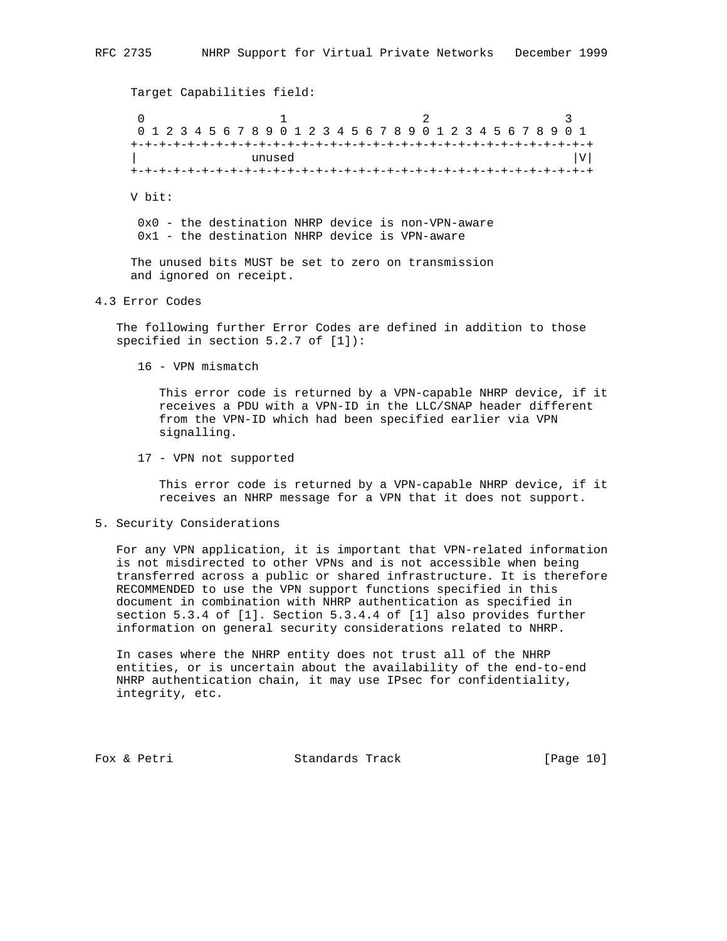Target Capabilities field: 0  $1$   $2$   $3$  0 1 2 3 4 5 6 7 8 9 0 1 2 3 4 5 6 7 8 9 0 1 2 3 4 5 6 7 8 9 0 1 +-+-+-+-+-+-+-+-+-+-+-+-+-+-+-+-+-+-+-+-+-+-+-+-+-+-+-+-+-+-+-+-+ | unused |V| +-+-+-+-+-+-+-+-+-+-+-+-+-+-+-+-+-+-+-+-+-+-+-+-+-+-+-+-+-+-+-+-+ V bit: 0x0 - the destination NHRP device is non-VPN-aware 0x1 - the destination NHRP device is VPN-aware The unused bits MUST be set to zero on transmission and ignored on receipt.

### 4.3 Error Codes

 The following further Error Codes are defined in addition to those specified in section 5.2.7 of [1]):

16 - VPN mismatch

 This error code is returned by a VPN-capable NHRP device, if it receives a PDU with a VPN-ID in the LLC/SNAP header different from the VPN-ID which had been specified earlier via VPN signalling.

17 - VPN not supported

 This error code is returned by a VPN-capable NHRP device, if it receives an NHRP message for a VPN that it does not support.

### 5. Security Considerations

 For any VPN application, it is important that VPN-related information is not misdirected to other VPNs and is not accessible when being transferred across a public or shared infrastructure. It is therefore RECOMMENDED to use the VPN support functions specified in this document in combination with NHRP authentication as specified in section 5.3.4 of [1]. Section 5.3.4.4 of [1] also provides further information on general security considerations related to NHRP.

 In cases where the NHRP entity does not trust all of the NHRP entities, or is uncertain about the availability of the end-to-end NHRP authentication chain, it may use IPsec for confidentiality, integrity, etc.

Fox & Petri Standards Track [Page 10]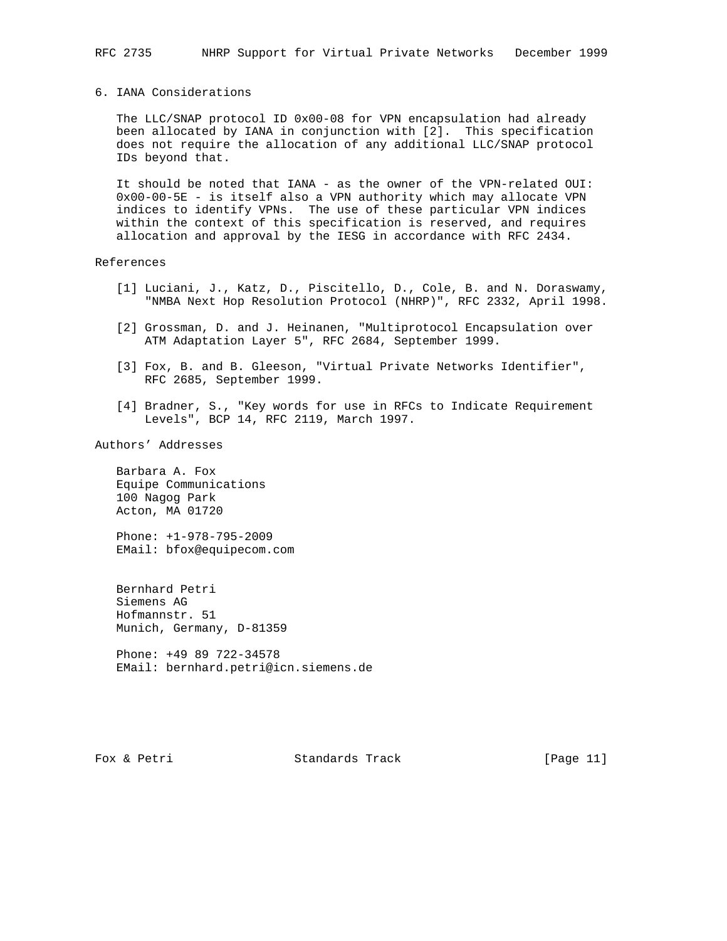### 6. IANA Considerations

 The LLC/SNAP protocol ID 0x00-08 for VPN encapsulation had already been allocated by IANA in conjunction with [2]. This specification does not require the allocation of any additional LLC/SNAP protocol IDs beyond that.

 It should be noted that IANA - as the owner of the VPN-related OUI: 0x00-00-5E - is itself also a VPN authority which may allocate VPN indices to identify VPNs. The use of these particular VPN indices within the context of this specification is reserved, and requires allocation and approval by the IESG in accordance with RFC 2434.

### References

- [1] Luciani, J., Katz, D., Piscitello, D., Cole, B. and N. Doraswamy, "NMBA Next Hop Resolution Protocol (NHRP)", RFC 2332, April 1998.
- [2] Grossman, D. and J. Heinanen, "Multiprotocol Encapsulation over ATM Adaptation Layer 5", RFC 2684, September 1999.
- [3] Fox, B. and B. Gleeson, "Virtual Private Networks Identifier", RFC 2685, September 1999.
- [4] Bradner, S., "Key words for use in RFCs to Indicate Requirement Levels", BCP 14, RFC 2119, March 1997.

Authors' Addresses

 Barbara A. Fox Equipe Communications 100 Nagog Park Acton, MA 01720

 Phone: +1-978-795-2009 EMail: bfox@equipecom.com

 Bernhard Petri Siemens AG Hofmannstr. 51 Munich, Germany, D-81359

 Phone: +49 89 722-34578 EMail: bernhard.petri@icn.siemens.de

Fox & Petri Standards Track [Page 11]